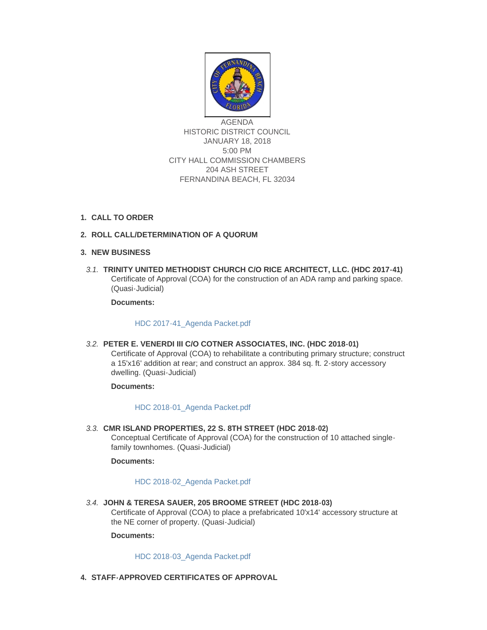

AGENDA HISTORIC DISTRICT COUNCIL JANUARY 18, 2018 5:00 PM CITY HALL COMMISSION CHAMBERS 204 ASH STREET FERNANDINA BEACH, FL 32034

# **CALL TO ORDER 1.**

# **ROLL CALL/DETERMINATION OF A QUORUM 2.**

## **NEW BUSINESS 3.**

**TRINITY UNITED METHODIST CHURCH C/O RICE ARCHITECT, LLC. (HDC 2017-41)** *3.1.* Certificate of Approval (COA) for the construction of an ADA ramp and parking space. (Quasi-Judicial)

**Documents:**

[HDC 2017-41\\_Agenda Packet.pdf](http://fl-fernandinabeach3.civicplus.com/AgendaCenter/ViewFile/Item/8571?fileID=5521)

**PETER E. VENERDI III C/O COTNER ASSOCIATES, INC. (HDC 2018-01)** *3.2.*

Certificate of Approval (COA) to rehabilitate a contributing primary structure; construct a 15'x16' addition at rear; and construct an approx. 384 sq. ft. 2-story accessory dwelling. (Quasi-Judicial)

#### **Documents:**

#### [HDC 2018-01\\_Agenda Packet.pdf](http://fl-fernandinabeach3.civicplus.com/AgendaCenter/ViewFile/Item/8570?fileID=5518)

**CMR ISLAND PROPERTIES, 22 S. 8TH STREET (HDC 2018-02)** *3.3.* Conceptual Certificate of Approval (COA) for the construction of 10 attached singlefamily townhomes. (Quasi-Judicial)

# **Documents:**

#### [HDC 2018-02\\_Agenda Packet.pdf](http://fl-fernandinabeach3.civicplus.com/AgendaCenter/ViewFile/Item/8568?fileID=5516)

**JOHN & TERESA SAUER, 205 BROOME STREET (HDC 2018-03)**  *3.4.* Certificate of Approval (COA) to place a prefabricated 10'x14' accessory structure at the NE corner of property. (Quasi-Judicial)

#### **Documents:**

[HDC 2018-03\\_Agenda Packet.pdf](http://fl-fernandinabeach3.civicplus.com/AgendaCenter/ViewFile/Item/8569?fileID=5517)

**STAFF-APPROVED CERTIFICATES OF APPROVAL 4.**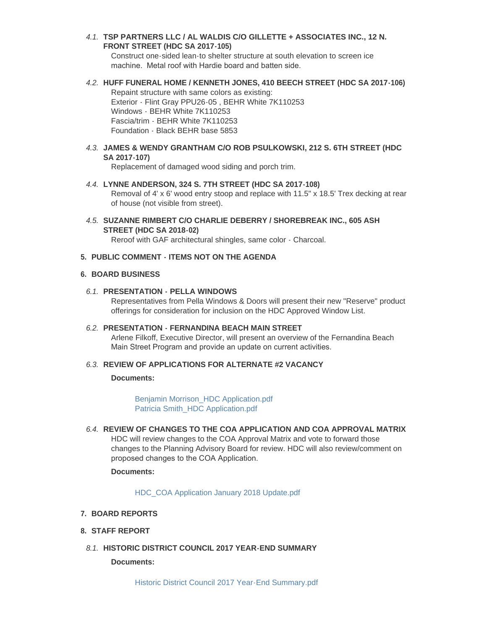**TSP PARTNERS LLC / AL WALDIS C/O GILLETTE + ASSOCIATES INC., 12 N.**  *4.1.* **FRONT STREET (HDC SA 2017-105)**

Construct one-sided lean-to shelter structure at south elevation to screen ice machine. Metal roof with Hardie board and batten side.

**HUFF FUNERAL HOME / KENNETH JONES, 410 BEECH STREET (HDC SA 2017-106)** *4.2.*

Repaint structure with same colors as existing: Exterior - Flint Gray PPU26-05 , BEHR White 7K110253 Windows - BEHR White 7K110253 Fascia/trim - BEHR White 7K110253 Foundation - Black BEHR base 5853

**JAMES & WENDY GRANTHAM C/O ROB PSULKOWSKI, 212 S. 6TH STREET (HDC**  *4.3.* **SA 2017-107)**

Replacement of damaged wood siding and porch trim.

- **LYNNE ANDERSON, 324 S. 7TH STREET (HDC SA 2017-108)** *4.4.* Removal of 4' x 6' wood entry stoop and replace with 11.5" x 18.5' Trex decking at rear of house (not visible from street).
- **SUZANNE RIMBERT C/O CHARLIE DEBERRY / SHOREBREAK INC., 605 ASH**  *4.5.* **STREET (HDC SA 2018-02)**

Reroof with GAF architectural shingles, same color - Charcoal.

## **PUBLIC COMMENT - ITEMS NOT ON THE AGENDA 5.**

#### **BOARD BUSINESS 6.**

#### **PRESENTATION - PELLA WINDOWS** *6.1.*

Representatives from Pella Windows & Doors will present their new "Reserve" product offerings for consideration for inclusion on the HDC Approved Window List.

## **PRESENTATION - FERNANDINA BEACH MAIN STREET** *6.2.*

Arlene Filkoff, Executive Director, will present an overview of the Fernandina Beach Main Street Program and provide an update on current activities.

#### **REVIEW OF APPLICATIONS FOR ALTERNATE #2 VACANCY** *6.3.*

#### **Documents:**

[Benjamin Morrison\\_HDC Application.pdf](http://fl-fernandinabeach3.civicplus.com/AgendaCenter/ViewFile/Item/8567?fileID=5514) [Patricia Smith\\_HDC Application.pdf](http://fl-fernandinabeach3.civicplus.com/AgendaCenter/ViewFile/Item/8567?fileID=5515)

# **REVIEW OF CHANGES TO THE COA APPLICATION AND COA APPROVAL MATRIX**  *6.4.*

HDC will review changes to the COA Approval Matrix and vote to forward those changes to the Planning Advisory Board for review. HDC will also review/comment on proposed changes to the COA Application.

# **Documents:**

[HDC\\_COA Application January 2018 Update.pdf](http://fl-fernandinabeach3.civicplus.com/AgendaCenter/ViewFile/Item/8574?fileID=5520)

- **BOARD REPORTS 7.**
- **STAFF REPORT 8.**
- **HISTORIC DISTRICT COUNCIL 2017 YEAR-END SUMMARY** *8.1.*

#### **Documents:**